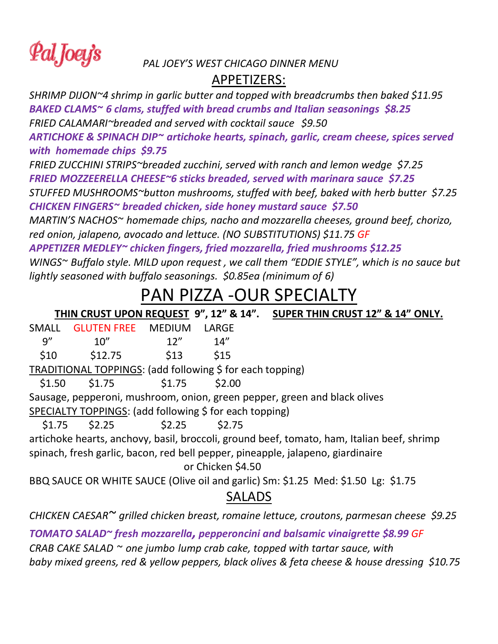Pal Joey's

#### *PAL JOEY'S WEST CHICAGO DINNER MENU*

#### APPETIZERS:

*SHRIMP DIJON~4 shrimp in garlic butter and topped with breadcrumbs then baked \$11.95 BAKED CLAMS~ 6 clams, stuffed with bread crumbs and Italian seasonings \$8.25 FRIED CALAMARI~breaded and served with cocktail sauce \$9.50*

*ARTICHOKE & SPINACH DIP~ artichoke hearts, spinach, garlic, cream cheese, spices served with homemade chips \$9.75*

*FRIED ZUCCHINI STRIPS~breaded zucchini, served with ranch and lemon wedge \$7.25 FRIED MOZZEERELLA CHEESE~6 sticks breaded, served with marinara sauce \$7.25*

*STUFFED MUSHROOMS~button mushrooms, stuffed with beef, baked with herb butter \$7.25 CHICKEN FINGERS~ breaded chicken, side honey mustard sauce \$7.50*

*MARTIN'S NACHOS~ homemade chips, nacho and mozzarella cheeses, ground beef, chorizo, red onion, jalapeno, avocado and lettuce. (NO SUBSTITUTIONS) \$11.75 GF*

*APPETIZER MEDLEY~ chicken fingers, fried mozzarella, fried mushrooms \$12.25 WINGS~ Buffalo style. MILD upon request , we call them "EDDIE STYLE", which is no sauce but lightly seasoned with buffalo seasonings. \$0.85ea (minimum of 6)*

# PAN PIZZA -OUR SPECIALTY

|                                                                                            |                           |        |                   | THIN CRUST UPON REQUEST 9", 12" & 14". SUPER THIN CRUST 12" & 14" ONLY.         |
|--------------------------------------------------------------------------------------------|---------------------------|--------|-------------------|---------------------------------------------------------------------------------|
| SMALL                                                                                      | <b>GLUTEN FREE MEDIUM</b> |        | <b>LARGE</b>      |                                                                                 |
| 9''                                                                                        | 10''                      | 12"    | 14"               |                                                                                 |
| \$10                                                                                       | \$12.75                   | \$13   | \$15              |                                                                                 |
| TRADITIONAL TOPPINGS: (add following \$ for each topping)                                  |                           |        |                   |                                                                                 |
| \$1.50                                                                                     | \$1.75                    | \$1.75 | \$2.00            |                                                                                 |
| Sausage, pepperoni, mushroom, onion, green pepper, green and black olives                  |                           |        |                   |                                                                                 |
| SPECIALTY TOPPINGS: (add following \$ for each topping)                                    |                           |        |                   |                                                                                 |
|                                                                                            | $$1.75$ $$2.25$           | \$2.25 | \$2.75            |                                                                                 |
| artichoke hearts, anchovy, basil, broccoli, ground beef, tomato, ham, Italian beef, shrimp |                           |        |                   |                                                                                 |
|                                                                                            |                           |        |                   | spinach, fresh garlic, bacon, red bell pepper, pineapple, jalapeno, giardinaire |
|                                                                                            |                           |        | or Chicken \$4.50 |                                                                                 |
| BBQ SAUCE OR WHITE SAUCE (Olive oil and garlic) Sm: \$1.25 Med: \$1.50 Lg: \$1.75          |                           |        |                   |                                                                                 |
|                                                                                            |                           |        | <b>SALADS</b>     |                                                                                 |
| CHICKEN CAESAR~ grilled chicken breast, romaine lettuce, croutons, parmesan cheese \$9.25  |                           |        |                   |                                                                                 |

*TOMATO SALAD~ fresh mozzarella, pepperoncini and balsamic vinaigrette \$8.99 GF CRAB CAKE SALAD ~ one jumbo lump crab cake, topped with tartar sauce, with baby mixed greens, red & yellow peppers, black olives & feta cheese & house dressing \$10.75*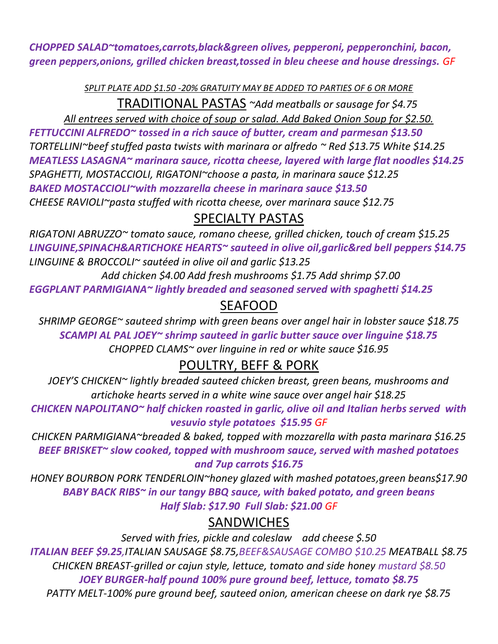*CHOPPED SALAD~tomatoes,carrots,black&green olives, pepperoni, pepperonchini, bacon, green peppers,onions, grilled chicken breast,tossed in bleu cheese and house dressings. GF*

*SPLIT PLATE ADD \$1.50 -20% GRATUITY MAY BE ADDED TO PARTIES OF 6 OR MORE*

TRADITIONAL PASTAS *~Add meatballs or sausage for \$4.75*

*All entrees served with choice of soup or salad. Add Baked Onion Soup for \$2.50. FETTUCCINI ALFREDO~ tossed in a rich sauce of butter, cream and parmesan \$13.50 TORTELLINI~beef stuffed pasta twists with marinara or alfredo ~ Red \$13.75 White \$14.25 MEATLESS LASAGNA~ marinara sauce, ricotta cheese, layered with large flat noodles \$14.25 SPAGHETTI, MOSTACCIOLI, RIGATONI~choose a pasta, in marinara sauce \$12.25 BAKED MOSTACCIOLI~with mozzarella cheese in marinara sauce \$13.50 CHEESE RAVIOLI~pasta stuffed with ricotta cheese, over marinara sauce \$12.75*

### SPECIALTY PASTAS

*RIGATONI ABRUZZO~ tomato sauce, romano cheese, grilled chicken, touch of cream \$15.25 LINGUINE,SPINACH&ARTICHOKE HEARTS~ sauteed in olive oil,garlic&red bell peppers \$14.75 LINGUINE & BROCCOLI~ sautéed in olive oil and garlic \$13.25*

 *Add chicken \$4.00 Add fresh mushrooms \$1.75 Add shrimp \$7.00 EGGPLANT PARMIGIANA~ lightly breaded and seasoned served with spaghetti \$14.25*

### SEAFOOD

*SHRIMP GEORGE~ sauteed shrimp with green beans over angel hair in lobster sauce \$18.75 SCAMPI AL PAL JOEY~ shrimp sauteed in garlic butter sauce over linguine \$18.75 CHOPPED CLAMS~ over linguine in red or white sauce \$16.95*

## POULTRY, BEFF & PORK

*JOEY'S CHICKEN~ lightly breaded sauteed chicken breast, green beans, mushrooms and artichoke hearts served in a white wine sauce over angel hair \$18.25*

*CHICKEN NAPOLITANO~ half chicken roasted in garlic, olive oil and Italian herbs served with vesuvio style potatoes \$15.95 GF*

*CHICKEN PARMIGIANA~breaded & baked, topped with mozzarella with pasta marinara \$16.25 BEEF BRISKET~ slow cooked, topped with mushroom sauce, served with mashed potatoes and 7up carrots \$16.75*

*HONEY BOURBON PORK TENDERLOIN~honey glazed with mashed potatoes,green beans\$17.90 BABY BACK RIBS~ in our tangy BBQ sauce, with baked potato, and green beans Half Slab: \$17.90 Full Slab: \$21.00 GF*

#### **SANDWICHES**

*Served with fries, pickle and coleslaw add cheese \$.50 ITALIAN BEEF \$9.25,ITALIAN SAUSAGE \$8.75,BEEF&SAUSAGE COMBO \$10.25 MEATBALL \$8.75 CHICKEN BREAST-grilled or cajun style, lettuce, tomato and side honey mustard \$8.50 JOEY BURGER-half pound 100% pure ground beef, lettuce, tomato \$8.75* 

*PATTY MELT-100% pure ground beef, sauteed onion, american cheese on dark rye \$8.75*